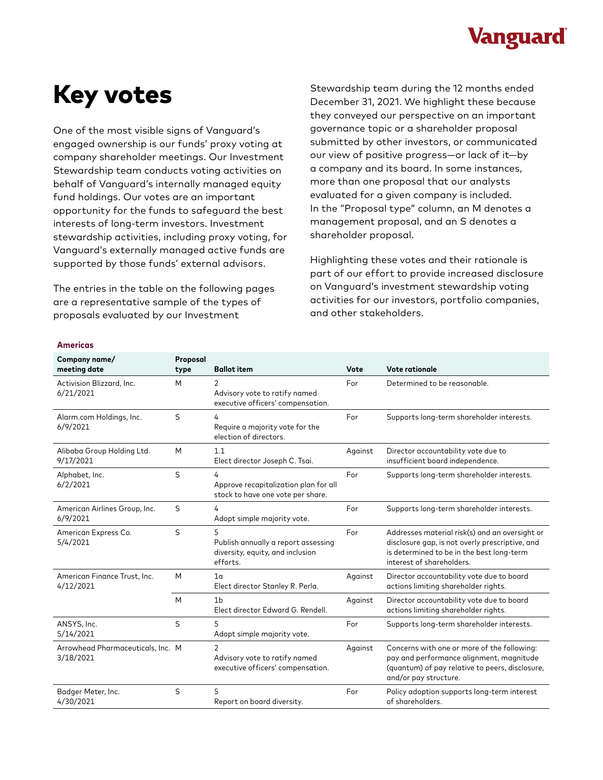

# Key votes

One of the most visible signs of Vanguard's engaged ownership is our funds' proxy voting at company shareholder meetings. Our Investment Stewardship team conducts voting activities on behalf of Vanguard's internally managed equity fund holdings. Our votes are an important opportunity for the funds to safeguard the best interests of long-term investors. Investment stewardship activities, including proxy voting, for Vanguard's externally managed active funds are supported by those funds' external advisors.

The entries in the table on the following pages are a representative sample of the types of proposals evaluated by our Investment

Stewardship team during the 12 months ended December 31, 2021. We highlight these because they conveyed our perspective on an important governance topic or a shareholder proposal submitted by other investors, or communicated our view of positive progress—or lack of it—by a company and its board. In some instances, more than one proposal that our analysts evaluated for a given company is included. In the "Proposal type" column, an M denotes a management proposal, and an S denotes a shareholder proposal.

Highlighting these votes and their rationale is part of our effort to provide increased disclosure on Vanguard's investment stewardship voting activities for our investors, portfolio companies, and other stakeholders.

| Company name/<br>meeting date                  | Proposal<br>type | <b>Ballot item</b>                                                                       | Vote    | Vote rationale                                                                                                                                                              |
|------------------------------------------------|------------------|------------------------------------------------------------------------------------------|---------|-----------------------------------------------------------------------------------------------------------------------------------------------------------------------------|
| Activision Blizzard, Inc.<br>6/21/2021         | M                | 2<br>Advisory vote to ratify named<br>executive officers' compensation.                  | For     | Determined to be reasonable.                                                                                                                                                |
| Alarm.com Holdings, Inc.<br>6/9/2021           | S                | 4<br>Require a majority vote for the<br>election of directors.                           | For     | Supports long-term shareholder interests.                                                                                                                                   |
| Alibaba Group Holding Ltd.<br>9/17/2021        | M                | 1.1<br>Elect director Joseph C. Tsai.                                                    | Against | Director accountability vote due to<br>insufficient board independence.                                                                                                     |
| Alphabet, Inc.<br>6/2/2021                     | S                | 4<br>Approve recapitalization plan for all<br>stock to have one vote per share.          | For     | Supports long-term shareholder interests.                                                                                                                                   |
| American Airlines Group, Inc.<br>6/9/2021      | S                | 4<br>Adopt simple majority vote.                                                         | For     | Supports long-term shareholder interests.                                                                                                                                   |
| American Express Co.<br>5/4/2021               | S                | 5<br>Publish annually a report assessing<br>diversity, equity, and inclusion<br>efforts. | For     | Addresses material risk(s) and an oversight or<br>disclosure gap, is not overly prescriptive, and<br>is determined to be in the best long-term<br>interest of shareholders. |
| American Finance Trust, Inc.<br>4/12/2021      | M                | 1 <sub>a</sub><br>Elect director Stanley R. Perla.                                       | Against | Director accountability vote due to board<br>actions limiting shareholder rights.                                                                                           |
|                                                | M                | 1 <sub>b</sub><br>Elect director Edward G. Rendell.                                      | Against | Director accountability vote due to board<br>actions limiting shareholder rights.                                                                                           |
| ANSYS, Inc.<br>5/14/2021                       | S                | 5<br>Adopt simple majority vote.                                                         | For     | Supports long-term shareholder interests.                                                                                                                                   |
| Arrowhead Pharmaceuticals, Inc. M<br>3/18/2021 |                  | 2<br>Advisory vote to ratify named<br>executive officers' compensation.                  | Against | Concerns with one or more of the following:<br>pay and performance alignment, magnitude<br>(quantum) of pay relative to peers, disclosure,<br>and/or pay structure.         |
| Badger Meter, Inc.<br>4/30/2021                | S                | 5<br>Report on board diversity.                                                          | For     | Policy adoption supports long-term interest<br>of shareholders.                                                                                                             |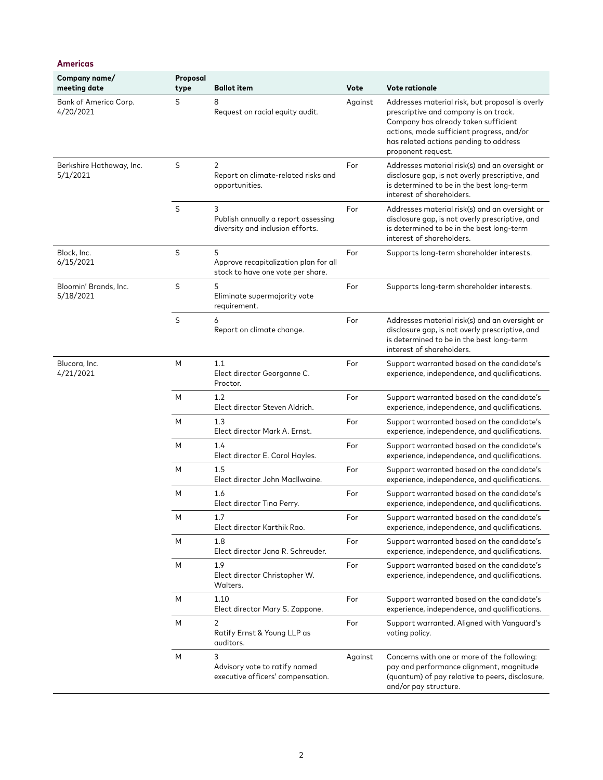| Company name/<br>meeting date        | Proposal<br>type | <b>Ballot item</b>                                                              | Vote    | <b>Vote rationale</b>                                                                                                                                                                                                                         |
|--------------------------------------|------------------|---------------------------------------------------------------------------------|---------|-----------------------------------------------------------------------------------------------------------------------------------------------------------------------------------------------------------------------------------------------|
| Bank of America Corp.<br>4/20/2021   | S                | 8<br>Request on racial equity audit.                                            | Against | Addresses material risk, but proposal is overly<br>prescriptive and company is on track.<br>Company has already taken sufficient<br>actions, made sufficient progress, and/or<br>has related actions pending to address<br>proponent request. |
| Berkshire Hathaway, Inc.<br>5/1/2021 | S                | 2<br>Report on climate-related risks and<br>opportunities.                      | For     | Addresses material risk(s) and an oversight or<br>disclosure gap, is not overly prescriptive, and<br>is determined to be in the best long-term<br>interest of shareholders.                                                                   |
|                                      | S                | 3<br>Publish annually a report assessing<br>diversity and inclusion efforts.    | For     | Addresses material risk(s) and an oversight or<br>disclosure gap, is not overly prescriptive, and<br>is determined to be in the best long-term<br>interest of shareholders.                                                                   |
| Block, Inc.<br>6/15/2021             | S                | 5<br>Approve recapitalization plan for all<br>stock to have one vote per share. | For     | Supports long-term shareholder interests.                                                                                                                                                                                                     |
| Bloomin' Brands, Inc.<br>5/18/2021   | S                | 5<br>Eliminate supermajority vote<br>requirement.                               | For     | Supports long-term shareholder interests.                                                                                                                                                                                                     |
|                                      | S                | 6<br>Report on climate change.                                                  | For     | Addresses material risk(s) and an oversight or<br>disclosure gap, is not overly prescriptive, and<br>is determined to be in the best long-term<br>interest of shareholders.                                                                   |
| Blucora, Inc.<br>4/21/2021           | M                | 1.1<br>Elect director Georganne C.<br>Proctor.                                  | For     | Support warranted based on the candidate's<br>experience, independence, and qualifications.                                                                                                                                                   |
|                                      | M                | 1.2<br>Elect director Steven Aldrich.                                           | For     | Support warranted based on the candidate's<br>experience, independence, and qualifications.                                                                                                                                                   |
|                                      | M                | 1.3<br>Elect director Mark A. Ernst.                                            | For     | Support warranted based on the candidate's<br>experience, independence, and qualifications.                                                                                                                                                   |
|                                      | M                | 1.4<br>Elect director E. Carol Hayles.                                          | For     | Support warranted based on the candidate's<br>experience, independence, and qualifications.                                                                                                                                                   |
|                                      | M                | 1.5<br>Elect director John MacIlwaine.                                          | For     | Support warranted based on the candidate's<br>experience, independence, and qualifications.                                                                                                                                                   |
|                                      | M                | 1.6<br>Elect director Tina Perry.                                               | For     | Support warranted based on the candidate's<br>experience, independence, and qualifications.                                                                                                                                                   |
|                                      | M                | 1.7<br>Elect director Karthik Rao.                                              | For     | Support warranted based on the candidate's<br>experience, independence, and qualifications.                                                                                                                                                   |
|                                      | M                | 1.8<br>Elect director Jana R. Schreuder.                                        | For     | Support warranted based on the candidate's<br>experience, independence, and qualifications.                                                                                                                                                   |
|                                      | M                | 1.9<br>Elect director Christopher W.<br>Walters.                                | For     | Support warranted based on the candidate's<br>experience, independence, and qualifications.                                                                                                                                                   |
|                                      | M                | 1.10<br>Elect director Mary S. Zappone.                                         | For     | Support warranted based on the candidate's<br>experience, independence, and qualifications.                                                                                                                                                   |
|                                      | M                | $\overline{2}$<br>Ratify Ernst & Young LLP as<br>auditors.                      | For     | Support warranted. Aligned with Vanguard's<br>voting policy.                                                                                                                                                                                  |
|                                      | M                | 3<br>Advisory vote to ratify named<br>executive officers' compensation.         | Against | Concerns with one or more of the following:<br>pay and performance alignment, magnitude<br>(quantum) of pay relative to peers, disclosure,<br>and/or pay structure.                                                                           |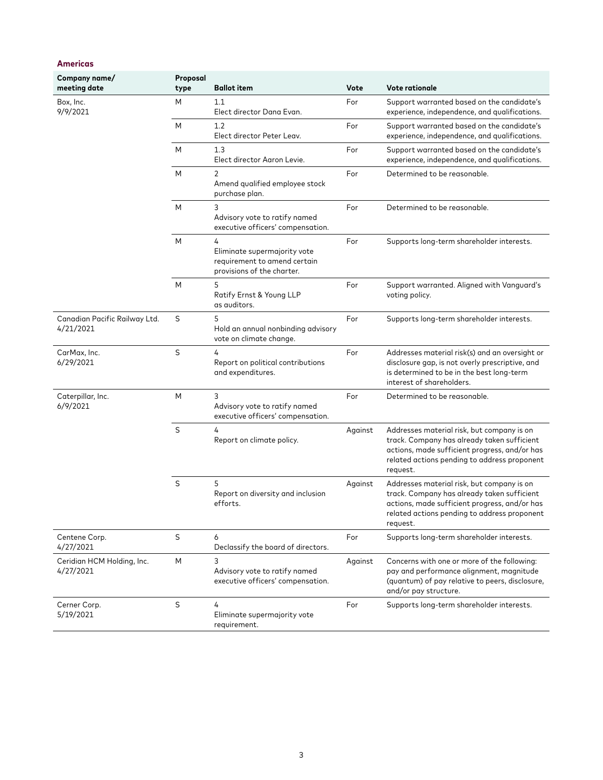| Company name/<br>meeting date              | Proposal<br>type | <b>Ballot item</b>                                                                              | Vote    | <b>Vote rationale</b>                                                                                                                                                                                  |
|--------------------------------------------|------------------|-------------------------------------------------------------------------------------------------|---------|--------------------------------------------------------------------------------------------------------------------------------------------------------------------------------------------------------|
| Box, Inc.<br>9/9/2021                      | M                | 1.1<br>Elect director Dana Evan.                                                                | For     | Support warranted based on the candidate's<br>experience, independence, and qualifications.                                                                                                            |
|                                            | M                | 1.2<br>Elect director Peter Leav.                                                               | For     | Support warranted based on the candidate's<br>experience, independence, and qualifications.                                                                                                            |
|                                            | M                | 1.3<br>Elect director Aaron Levie.                                                              | For     | Support warranted based on the candidate's<br>experience, independence, and qualifications.                                                                                                            |
|                                            | M                | 2<br>Amend qualified employee stock<br>purchase plan.                                           | For     | Determined to be reasonable.                                                                                                                                                                           |
|                                            | M                | 3<br>Advisory vote to ratify named<br>executive officers' compensation.                         | For     | Determined to be reasonable.                                                                                                                                                                           |
|                                            | M                | 4<br>Eliminate supermajority vote<br>requirement to amend certain<br>provisions of the charter. | For     | Supports long-term shareholder interests.                                                                                                                                                              |
|                                            | M                | 5<br>Ratify Ernst & Young LLP<br>as auditors.                                                   | For     | Support warranted. Aligned with Vanguard's<br>voting policy.                                                                                                                                           |
| Canadian Pacific Railway Ltd.<br>4/21/2021 | S                | 5<br>Hold an annual nonbinding advisory<br>vote on climate change.                              | For     | Supports long-term shareholder interests.                                                                                                                                                              |
| CarMax, Inc.<br>6/29/2021                  | S                | 4<br>Report on political contributions<br>and expenditures.                                     | For     | Addresses material risk(s) and an oversight or<br>disclosure gap, is not overly prescriptive, and<br>is determined to be in the best long-term<br>interest of shareholders.                            |
| Caterpillar, Inc.<br>6/9/2021              | M                | 3<br>Advisory vote to ratify named<br>executive officers' compensation.                         | For     | Determined to be reasonable.                                                                                                                                                                           |
|                                            | S                | 4<br>Report on climate policy.                                                                  | Against | Addresses material risk, but company is on<br>track. Company has already taken sufficient<br>actions, made sufficient progress, and/or has<br>related actions pending to address proponent<br>request. |
|                                            | S                | 5<br>Report on diversity and inclusion<br>efforts.                                              | Against | Addresses material risk, but company is on<br>track. Company has already taken sufficient<br>actions, made sufficient progress, and/or has<br>related actions pending to address proponent<br>request. |
| Centene Corp.<br>4/27/2021                 | S                | 6<br>Declassify the board of directors.                                                         | For     | Supports long-term shareholder interests.                                                                                                                                                              |
| Ceridian HCM Holding, Inc.<br>4/27/2021    | M                | 3<br>Advisory vote to ratify named<br>executive officers' compensation.                         | Against | Concerns with one or more of the following:<br>pay and performance alignment, magnitude<br>(quantum) of pay relative to peers, disclosure,<br>and/or pay structure.                                    |
| Cerner Corp.<br>5/19/2021                  | S                | 4<br>Eliminate supermajority vote<br>requirement.                                               | For     | Supports long-term shareholder interests.                                                                                                                                                              |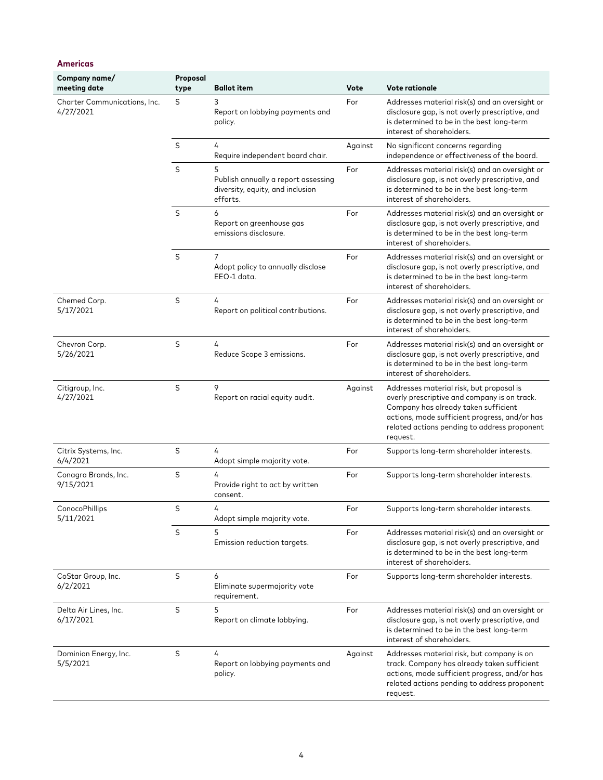| Company name/<br>meeting date             | Proposal<br>type | <b>Ballot item</b>                                                                       | Vote    | <b>Vote rationale</b>                                                                                                                                                                                                                         |
|-------------------------------------------|------------------|------------------------------------------------------------------------------------------|---------|-----------------------------------------------------------------------------------------------------------------------------------------------------------------------------------------------------------------------------------------------|
| Charter Communications, Inc.<br>4/27/2021 | S                | 3<br>Report on lobbying payments and<br>policy.                                          | For     | Addresses material risk(s) and an oversight or<br>disclosure gap, is not overly prescriptive, and<br>is determined to be in the best long-term<br>interest of shareholders.                                                                   |
|                                           | S                | 4<br>Require independent board chair.                                                    | Against | No significant concerns regarding<br>independence or effectiveness of the board.                                                                                                                                                              |
|                                           | S                | 5<br>Publish annually a report assessing<br>diversity, equity, and inclusion<br>efforts. | For     | Addresses material risk(s) and an oversight or<br>disclosure gap, is not overly prescriptive, and<br>is determined to be in the best long-term<br>interest of shareholders.                                                                   |
|                                           | S                | 6<br>Report on greenhouse gas<br>emissions disclosure.                                   | For     | Addresses material risk(s) and an oversight or<br>disclosure gap, is not overly prescriptive, and<br>is determined to be in the best long-term<br>interest of shareholders.                                                                   |
|                                           | S                | $\overline{7}$<br>Adopt policy to annually disclose<br>EEO-1 data.                       | For     | Addresses material risk(s) and an oversight or<br>disclosure gap, is not overly prescriptive, and<br>is determined to be in the best long-term<br>interest of shareholders.                                                                   |
| Chemed Corp.<br>5/17/2021                 | S                | 4<br>Report on political contributions.                                                  | For     | Addresses material risk(s) and an oversight or<br>disclosure gap, is not overly prescriptive, and<br>is determined to be in the best long-term<br>interest of shareholders.                                                                   |
| Chevron Corp.<br>5/26/2021                | S                | 4<br>Reduce Scope 3 emissions.                                                           | For     | Addresses material risk(s) and an oversight or<br>disclosure gap, is not overly prescriptive, and<br>is determined to be in the best long-term<br>interest of shareholders.                                                                   |
| Citigroup, Inc.<br>4/27/2021              | S                | 9<br>Report on racial equity audit.                                                      | Against | Addresses material risk, but proposal is<br>overly prescriptive and company is on track.<br>Company has already taken sufficient<br>actions, made sufficient progress, and/or has<br>related actions pending to address proponent<br>request. |
| Citrix Systems, Inc.<br>6/4/2021          | S                | 4<br>Adopt simple majority vote.                                                         | For     | Supports long-term shareholder interests.                                                                                                                                                                                                     |
| Conagra Brands, Inc.<br>9/15/2021         | S                | 4<br>Provide right to act by written<br>consent.                                         | For     | Supports long-term shareholder interests.                                                                                                                                                                                                     |
| ConocoPhillips<br>5/11/2021               | S                | 4<br>Adopt simple majority vote.                                                         | For     | Supports long-term shareholder interests.                                                                                                                                                                                                     |
|                                           | S                | 5<br>Emission reduction targets.                                                         | For     | Addresses material risk(s) and an oversight or<br>disclosure gap, is not overly prescriptive, and<br>is determined to be in the best long-term<br>interest of shareholders.                                                                   |
| CoStar Group, Inc.<br>6/2/2021            | S                | 6<br>Eliminate supermajority vote<br>requirement.                                        | For     | Supports long-term shareholder interests.                                                                                                                                                                                                     |
| Delta Air Lines, Inc.<br>6/17/2021        | S                | 5<br>Report on climate lobbying.                                                         | For     | Addresses material risk(s) and an oversight or<br>disclosure gap, is not overly prescriptive, and<br>is determined to be in the best long-term<br>interest of shareholders.                                                                   |
| Dominion Energy, Inc.<br>5/5/2021         | S                | 4<br>Report on lobbying payments and<br>policy.                                          | Against | Addresses material risk, but company is on<br>track. Company has already taken sufficient<br>actions, made sufficient progress, and/or has<br>related actions pending to address proponent<br>request.                                        |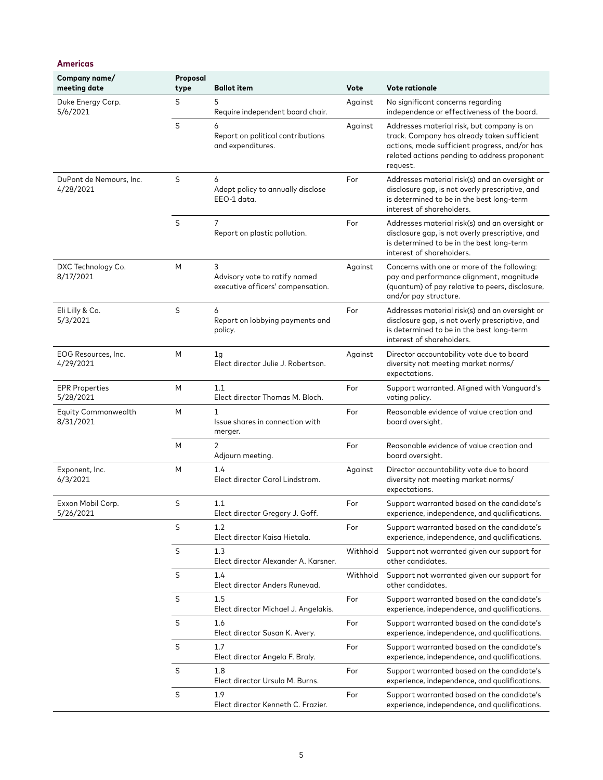| Company name/<br>meeting date           | Proposal<br>type | <b>Ballot item</b>                                                      | Vote     | Vote rationale                                                                                                                                                                                         |
|-----------------------------------------|------------------|-------------------------------------------------------------------------|----------|--------------------------------------------------------------------------------------------------------------------------------------------------------------------------------------------------------|
| Duke Energy Corp.<br>5/6/2021           | S                | 5<br>Require independent board chair.                                   | Against  | No significant concerns regarding<br>independence or effectiveness of the board.                                                                                                                       |
|                                         | S                | Report on political contributions<br>and expenditures.                  | Against  | Addresses material risk, but company is on<br>track. Company has already taken sufficient<br>actions, made sufficient progress, and/or has<br>related actions pending to address proponent<br>request. |
| DuPont de Nemours, Inc.<br>4/28/2021    | S                | 6<br>Adopt policy to annually disclose<br>EEO-1 data.                   | For      | Addresses material risk(s) and an oversight or<br>disclosure gap, is not overly prescriptive, and<br>is determined to be in the best long-term<br>interest of shareholders.                            |
|                                         | S                | 7<br>Report on plastic pollution.                                       | For      | Addresses material risk(s) and an oversight or<br>disclosure gap, is not overly prescriptive, and<br>is determined to be in the best long-term<br>interest of shareholders.                            |
| DXC Technology Co.<br>8/17/2021         | M                | 3<br>Advisory vote to ratify named<br>executive officers' compensation. | Against  | Concerns with one or more of the following:<br>pay and performance alignment, magnitude<br>(quantum) of pay relative to peers, disclosure,<br>and/or pay structure.                                    |
| Eli Lilly & Co.<br>5/3/2021             | S                | 6<br>Report on lobbying payments and<br>policy.                         | For      | Addresses material risk(s) and an oversight or<br>disclosure gap, is not overly prescriptive, and<br>is determined to be in the best long-term<br>interest of shareholders.                            |
| EOG Resources, Inc.<br>4/29/2021        | M                | 1g<br>Elect director Julie J. Robertson.                                | Against  | Director accountability vote due to board<br>diversity not meeting market norms/<br>expectations.                                                                                                      |
| <b>EPR Properties</b><br>5/28/2021      | M                | 1.1<br>Elect director Thomas M. Bloch.                                  | For      | Support warranted. Aligned with Vanguard's<br>voting policy.                                                                                                                                           |
| <b>Equity Commonwealth</b><br>8/31/2021 | M                | 1<br>Issue shares in connection with<br>merger.                         | For      | Reasonable evidence of value creation and<br>board oversight.                                                                                                                                          |
|                                         | M                | 2<br>Adjourn meeting.                                                   | For      | Reasonable evidence of value creation and<br>board oversight.                                                                                                                                          |
| Exponent, Inc.<br>6/3/2021              | M                | 1.4<br>Elect director Carol Lindstrom.                                  | Against  | Director accountability vote due to board<br>diversity not meeting market norms/<br>expectations.                                                                                                      |
| Exxon Mobil Corp.<br>5/26/2021          | S                | $1.1\,$<br>Elect director Gregory J. Goff.                              | For      | Support warranted based on the candidate's<br>experience, independence, and qualifications.                                                                                                            |
|                                         | S                | 1.2<br>Elect director Kaisa Hietala.                                    | For      | Support warranted based on the candidate's<br>experience, independence, and qualifications.                                                                                                            |
|                                         | S                | 1.3<br>Elect director Alexander A. Karsner.                             | Withhold | Support not warranted given our support for<br>other candidates.                                                                                                                                       |
|                                         | S                | 1.4<br>Elect director Anders Runevad.                                   | Withhold | Support not warranted given our support for<br>other candidates.                                                                                                                                       |
|                                         | S                | 1.5<br>Elect director Michael J. Angelakis.                             | For      | Support warranted based on the candidate's<br>experience, independence, and qualifications.                                                                                                            |
|                                         | S                | 1.6<br>Elect director Susan K. Avery.                                   | For      | Support warranted based on the candidate's<br>experience, independence, and qualifications.                                                                                                            |
|                                         | S                | 1.7<br>Elect director Angela F. Braly.                                  | For      | Support warranted based on the candidate's<br>experience, independence, and qualifications.                                                                                                            |
|                                         | S                | 1.8<br>Elect director Ursula M. Burns.                                  | For      | Support warranted based on the candidate's<br>experience, independence, and qualifications.                                                                                                            |
|                                         | S                | 1.9<br>Elect director Kenneth C. Frazier.                               | For      | Support warranted based on the candidate's<br>experience, independence, and qualifications.                                                                                                            |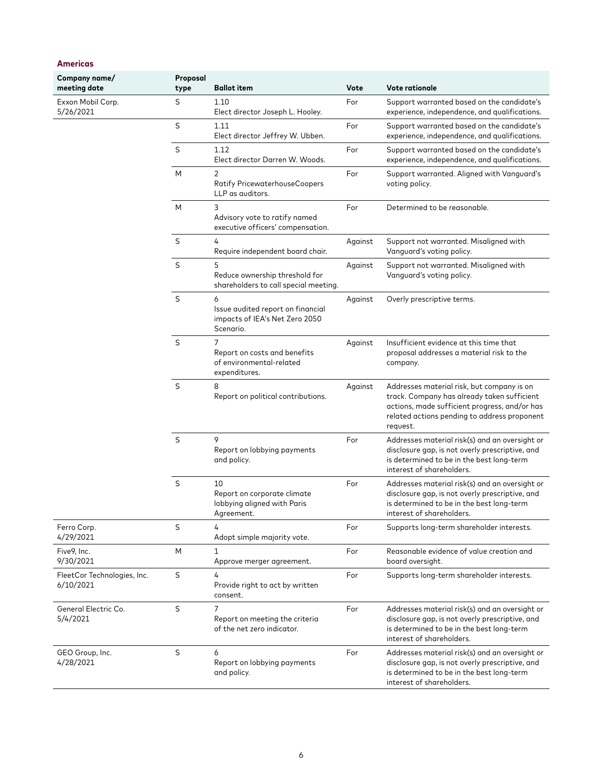| Company name/<br>meeting date            | Proposal<br>type | <b>Ballot item</b>                                                                    | Vote    | Vote rationale                                                                                                                                                                                         |
|------------------------------------------|------------------|---------------------------------------------------------------------------------------|---------|--------------------------------------------------------------------------------------------------------------------------------------------------------------------------------------------------------|
| Exxon Mobil Corp.<br>5/26/2021           | S                | 1.10<br>Elect director Joseph L. Hooley.                                              | For     | Support warranted based on the candidate's<br>experience, independence, and qualifications.                                                                                                            |
|                                          | S                | 1.11<br>Elect director Jeffrey W. Ubben.                                              | For     | Support warranted based on the candidate's<br>experience, independence, and qualifications.                                                                                                            |
|                                          | S                | 1.12<br>Elect director Darren W. Woods.                                               | For     | Support warranted based on the candidate's<br>experience, independence, and qualifications.                                                                                                            |
|                                          | M                | 2<br>Ratify PricewaterhouseCoopers<br>LLP as auditors.                                | For     | Support warranted. Aligned with Vanguard's<br>voting policy.                                                                                                                                           |
|                                          | M                | 3<br>Advisory vote to ratify named<br>executive officers' compensation.               | For     | Determined to be reasonable.                                                                                                                                                                           |
|                                          | S                | 4<br>Require independent board chair.                                                 | Against | Support not warranted. Misaligned with<br>Vanguard's voting policy.                                                                                                                                    |
|                                          | S                | 5<br>Reduce ownership threshold for<br>shareholders to call special meeting.          | Against | Support not warranted. Misaligned with<br>Vanguard's voting policy.                                                                                                                                    |
|                                          | S                | 6<br>Issue audited report on financial<br>impacts of IEA's Net Zero 2050<br>Scenario. | Against | Overly prescriptive terms.                                                                                                                                                                             |
|                                          | S                | 7<br>Report on costs and benefits<br>of environmental-related<br>expenditures.        | Against | Insufficient evidence at this time that<br>proposal addresses a material risk to the<br>company.                                                                                                       |
|                                          | S                | 8<br>Report on political contributions.                                               | Against | Addresses material risk, but company is on<br>track. Company has already taken sufficient<br>actions, made sufficient progress, and/or has<br>related actions pending to address proponent<br>request. |
|                                          | S                | 9<br>Report on lobbying payments<br>and policy.                                       | For     | Addresses material risk(s) and an oversight or<br>disclosure gap, is not overly prescriptive, and<br>is determined to be in the best long-term<br>interest of shareholders.                            |
|                                          | S                | 10<br>Report on corporate climate<br>lobbying aligned with Paris<br>Agreement.        | For     | Addresses material risk(s) and an oversight or<br>disclosure gap, is not overly prescriptive, and<br>is determined to be in the best long-term<br>interest of shareholders.                            |
| Ferro Corp.<br>4/29/2021                 | S                | 4<br>Adopt simple majority vote.                                                      | For     | Supports long-term shareholder interests.                                                                                                                                                              |
| Five9, Inc.<br>9/30/2021                 | M                | $\mathbf{1}$<br>Approve merger agreement.                                             | For     | Reasonable evidence of value creation and<br>board oversight.                                                                                                                                          |
| FleetCor Technologies, Inc.<br>6/10/2021 | S                | 4<br>Provide right to act by written<br>consent.                                      | For     | Supports long-term shareholder interests.                                                                                                                                                              |
| General Electric Co.<br>5/4/2021         | S                | 7<br>Report on meeting the criteria<br>of the net zero indicator.                     | For     | Addresses material risk(s) and an oversight or<br>disclosure gap, is not overly prescriptive, and<br>is determined to be in the best long-term<br>interest of shareholders.                            |
| GEO Group, Inc.<br>4/28/2021             | S                | 6<br>Report on lobbying payments<br>and policy.                                       | For     | Addresses material risk(s) and an oversight or<br>disclosure gap, is not overly prescriptive, and<br>is determined to be in the best long-term<br>interest of shareholders.                            |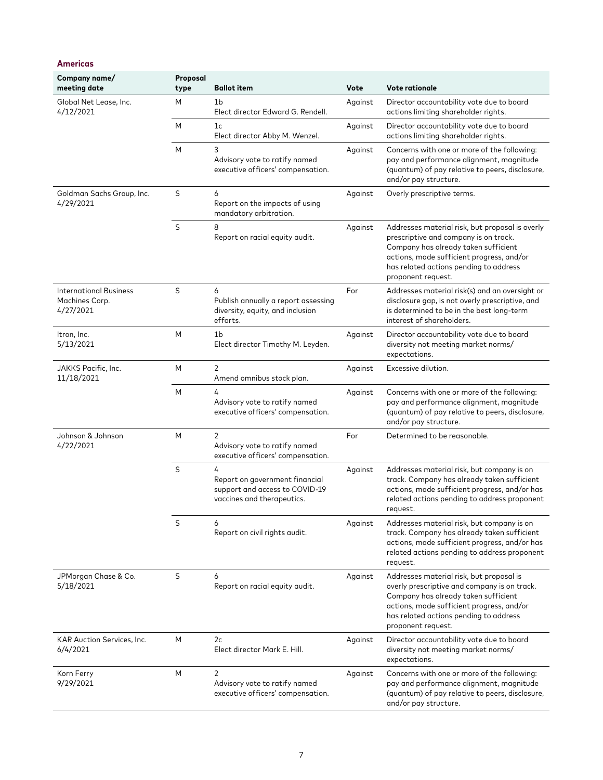| <b>Americas</b>                                              |                  |                                                                                                     |         |                                                                                                                                                                                                                                               |
|--------------------------------------------------------------|------------------|-----------------------------------------------------------------------------------------------------|---------|-----------------------------------------------------------------------------------------------------------------------------------------------------------------------------------------------------------------------------------------------|
| Company name/<br>meeting date                                | Proposal<br>type | <b>Ballot item</b>                                                                                  | Vote    | <b>Vote rationale</b>                                                                                                                                                                                                                         |
| Global Net Lease, Inc.<br>4/12/2021                          | M                | 1b<br>Elect director Edward G. Rendell.                                                             | Against | Director accountability vote due to board<br>actions limiting shareholder rights.                                                                                                                                                             |
|                                                              | M                | 1c<br>Elect director Abby M. Wenzel.                                                                | Against | Director accountability vote due to board<br>actions limiting shareholder rights.                                                                                                                                                             |
|                                                              | M                | 3<br>Advisory vote to ratify named<br>executive officers' compensation.                             | Against | Concerns with one or more of the following:<br>pay and performance alignment, magnitude<br>(quantum) of pay relative to peers, disclosure,<br>and/or pay structure.                                                                           |
| Goldman Sachs Group, Inc.<br>4/29/2021                       | S                | 6<br>Report on the impacts of using<br>mandatory arbitration.                                       | Against | Overly prescriptive terms.                                                                                                                                                                                                                    |
|                                                              | S                | 8<br>Report on racial equity audit.                                                                 | Against | Addresses material risk, but proposal is overly<br>prescriptive and company is on track.<br>Company has already taken sufficient<br>actions, made sufficient progress, and/or<br>has related actions pending to address<br>proponent request. |
| <b>International Business</b><br>Machines Corp.<br>4/27/2021 | S                | 6<br>Publish annually a report assessing<br>diversity, equity, and inclusion<br>efforts.            | For     | Addresses material risk(s) and an oversight or<br>disclosure gap, is not overly prescriptive, and<br>is determined to be in the best long-term<br>interest of shareholders.                                                                   |
| Itron, Inc.<br>5/13/2021                                     | M                | 1 <sub>b</sub><br>Elect director Timothy M. Leyden.                                                 | Against | Director accountability vote due to board<br>diversity not meeting market norms/<br>expectations.                                                                                                                                             |
| JAKKS Pacific, Inc.<br>11/18/2021                            | M                | 2<br>Amend omnibus stock plan.                                                                      | Against | Excessive dilution.                                                                                                                                                                                                                           |
|                                                              | M                | 4<br>Advisory vote to ratify named<br>executive officers' compensation.                             | Against | Concerns with one or more of the following:<br>pay and performance alignment, magnitude<br>(quantum) of pay relative to peers, disclosure,<br>and/or pay structure.                                                                           |
| Johnson & Johnson<br>4/22/2021                               | M                | 2<br>Advisory vote to ratify named<br>executive officers' compensation.                             | For     | Determined to be reasonable.                                                                                                                                                                                                                  |
|                                                              | S                | 4<br>Report on government financial<br>support and access to COVID-19<br>vaccines and therapeutics. | Against | Addresses material risk, but company is on<br>track. Company has already taken sufficient<br>actions, made sufficient progress, and/or has<br>related actions pending to address proponent<br>request.                                        |
|                                                              | S                | 6<br>Report on civil rights audit.                                                                  | Against | Addresses material risk, but company is on<br>track. Company has already taken sufficient<br>actions, made sufficient progress, and/or has<br>related actions pending to address proponent<br>request.                                        |
| JPMorgan Chase & Co.<br>5/18/2021                            | S                | 6<br>Report on racial equity audit.                                                                 | Against | Addresses material risk, but proposal is<br>overly prescriptive and company is on track.<br>Company has already taken sufficient<br>actions, made sufficient progress, and/or<br>has related actions pending to address<br>proponent request. |
| <b>KAR Auction Services, Inc.</b><br>6/4/2021                | M                | 2c<br>Elect director Mark E. Hill.                                                                  | Against | Director accountability vote due to board<br>diversity not meeting market norms/<br>expectations.                                                                                                                                             |
| Korn Ferry<br>9/29/2021                                      | M                | 2<br>Advisory vote to ratify named<br>executive officers' compensation.                             | Against | Concerns with one or more of the following:<br>pay and performance alignment, magnitude<br>(quantum) of pay relative to peers, disclosure,<br>and/or pay structure.                                                                           |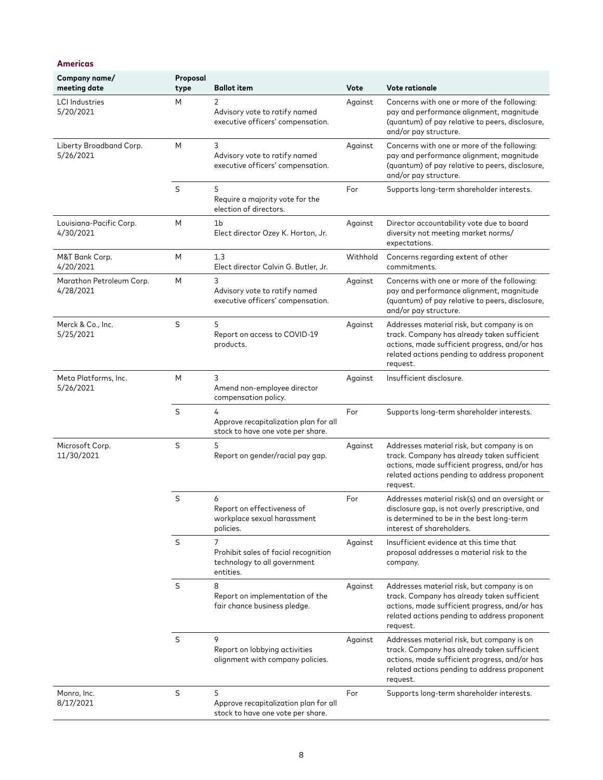| Company name/<br>meeting date         | Proposal<br>type | <b>Ballot item</b>                                                                                  | Vote     | <b>Vote rationale</b>                                                                                                                                                                                  |
|---------------------------------------|------------------|-----------------------------------------------------------------------------------------------------|----------|--------------------------------------------------------------------------------------------------------------------------------------------------------------------------------------------------------|
| <b>LCI</b> Industries<br>5/20/2021    | M                | 2<br>Advisory vote to ratify named<br>executive officers' compensation.                             | Against  | Concerns with one or more of the following:<br>pay and performance alignment, magnitude<br>(quantum) of pay relative to peers, disclosure,<br>and/or pay structure.                                    |
| Liberty Broadband Corp.<br>5/26/2021  | M                | 3<br>Advisory vote to ratify named<br>executive officers' compensation.                             | Against  | Concerns with one or more of the following:<br>pay and performance alignment, magnitude<br>(quantum) of pay relative to peers, disclosure,<br>and/or pay structure.                                    |
|                                       | S                | 5<br>Require a majority vote for the<br>election of directors.                                      | For      | Supports long-term shareholder interests.                                                                                                                                                              |
| Louisiana-Pacific Corp.<br>4/30/2021  | M                | 1b<br>Elect director Ozey K. Horton, Jr.                                                            | Against  | Director accountability vote due to board<br>diversity not meeting market norms/<br>expectations.                                                                                                      |
| M&T Bank Corp.<br>4/20/2021           | M                | 1.3<br>Elect director Calvin G. Butler, Jr.                                                         | Withhold | Concerns regarding extent of other<br>commitments.                                                                                                                                                     |
| Marathon Petroleum Corp.<br>4/28/2021 | M                | 3<br>Advisory vote to ratify named<br>executive officers' compensation.                             | Against  | Concerns with one or more of the following:<br>pay and performance alignment, magnitude<br>(quantum) of pay relative to peers, disclosure,<br>and/or pay structure.                                    |
| Merck & Co., Inc.<br>5/25/2021        | S                | 5<br>Report on access to COVID-19<br>products.                                                      | Against  | Addresses material risk, but company is on<br>track. Company has already taken sufficient<br>actions, made sufficient progress, and/or has<br>related actions pending to address proponent<br>request. |
| Meta Platforms, Inc.<br>5/26/2021     | M                | 3<br>Amend non-employee director<br>compensation policy.                                            | Against  | Insufficient disclosure.                                                                                                                                                                               |
|                                       | S                | 4<br>Approve recapitalization plan for all<br>stock to have one vote per share.                     | For      | Supports long-term shareholder interests.                                                                                                                                                              |
| Microsoft Corp.<br>11/30/2021         | S                | 5<br>Report on gender/racial pay gap.                                                               | Against  | Addresses material risk, but company is on<br>track. Company has already taken sufficient<br>actions, made sufficient progress, and/or has<br>related actions pending to address proponent<br>request. |
|                                       | S                | 6<br>Report on effectiveness of<br>workplace sexual harassment<br>policies.                         | For      | Addresses material risk(s) and an oversight or<br>disclosure gap, is not overly prescriptive, and<br>is determined to be in the best long-term<br>interest of shareholders.                            |
|                                       | S                | $\overline{7}$<br>Prohibit sales of facial recognition<br>technology to all government<br>entities. | Against  | Insufficient evidence at this time that<br>proposal addresses a material risk to the<br>company.                                                                                                       |
|                                       | S                | 8<br>Report on implementation of the<br>fair chance business pledge.                                | Against  | Addresses material risk, but company is on<br>track. Company has already taken sufficient<br>actions, made sufficient progress, and/or has<br>related actions pending to address proponent<br>request. |
|                                       | S                | 9<br>Report on lobbying activities<br>alignment with company policies.                              | Against  | Addresses material risk, but company is on<br>track. Company has already taken sufficient<br>actions, made sufficient progress, and/or has<br>related actions pending to address proponent<br>request. |
| Monro, Inc.<br>8/17/2021              | S                | 5<br>Approve recapitalization plan for all<br>stock to have one vote per share.                     | For      | Supports long-term shareholder interests.                                                                                                                                                              |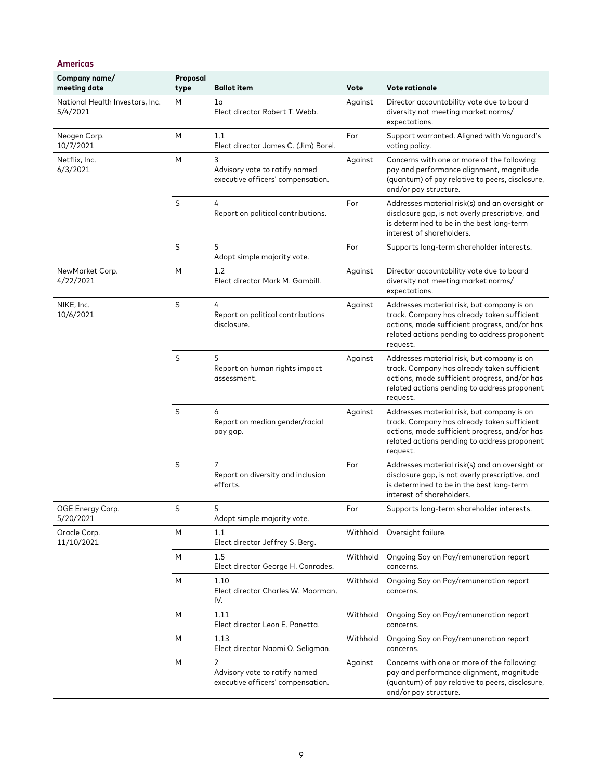| Company name/<br>meeting date               | Proposal<br>type | <b>Ballot item</b>                                                                   | Vote     | <b>Vote rationale</b>                                                                                                                                                                                  |
|---------------------------------------------|------------------|--------------------------------------------------------------------------------------|----------|--------------------------------------------------------------------------------------------------------------------------------------------------------------------------------------------------------|
| National Health Investors, Inc.<br>5/4/2021 | M                | 1a<br>Elect director Robert T. Webb.                                                 | Against  | Director accountability vote due to board<br>diversity not meeting market norms/<br>expectations.                                                                                                      |
| Neogen Corp.<br>10/7/2021                   | M                | 1.1<br>Elect director James C. (Jim) Borel.                                          | For      | Support warranted. Aligned with Vanguard's<br>voting policy.                                                                                                                                           |
| Netflix, Inc.<br>6/3/2021                   | M                | 3<br>Advisory vote to ratify named<br>executive officers' compensation.              | Against  | Concerns with one or more of the following:<br>pay and performance alignment, magnitude<br>(quantum) of pay relative to peers, disclosure,<br>and/or pay structure.                                    |
|                                             | S                | 4<br>Report on political contributions.                                              | For      | Addresses material risk(s) and an oversight or<br>disclosure gap, is not overly prescriptive, and<br>is determined to be in the best long-term<br>interest of shareholders.                            |
|                                             | S                | 5<br>Adopt simple majority vote.                                                     | For      | Supports long-term shareholder interests.                                                                                                                                                              |
| NewMarket Corp.<br>4/22/2021                | M                | 1.2<br>Elect director Mark M. Gambill.                                               | Against  | Director accountability vote due to board<br>diversity not meeting market norms/<br>expectations.                                                                                                      |
| NIKE, Inc.<br>10/6/2021                     | S                | 4<br>Report on political contributions<br>disclosure.                                | Against  | Addresses material risk, but company is on<br>track. Company has already taken sufficient<br>actions, made sufficient progress, and/or has<br>related actions pending to address proponent<br>request. |
|                                             | S                | 5<br>Report on human rights impact<br>assessment.                                    | Against  | Addresses material risk, but company is on<br>track. Company has already taken sufficient<br>actions, made sufficient progress, and/or has<br>related actions pending to address proponent<br>request. |
|                                             | S                | 6<br>Report on median gender/racial<br>pay gap.                                      | Against  | Addresses material risk, but company is on<br>track. Company has already taken sufficient<br>actions, made sufficient progress, and/or has<br>related actions pending to address proponent<br>request. |
|                                             | S                | $\overline{7}$<br>Report on diversity and inclusion<br>efforts.                      | For      | Addresses material risk(s) and an oversight or<br>disclosure gap, is not overly prescriptive, and<br>is determined to be in the best long-term<br>interest of shareholders.                            |
| OGE Energy Corp.<br>5/20/2021               | S                | 5<br>Adopt simple majority vote.                                                     | For      | Supports long-term shareholder interests.                                                                                                                                                              |
| Oracle Corp.<br>11/10/2021                  | M                | 1.1<br>Elect director Jeffrey S. Berg.                                               |          | Withhold Oversight failure.                                                                                                                                                                            |
|                                             | M                | 1.5<br>Elect director George H. Conrades.                                            | Withhold | Ongoing Say on Pay/remuneration report<br>concerns.                                                                                                                                                    |
|                                             | M                | 1.10<br>Elect director Charles W. Moorman,<br>IV.                                    | Withhold | Ongoing Say on Pay/remuneration report<br>concerns.                                                                                                                                                    |
|                                             | M                | 1.11<br>Elect director Leon E. Panetta.                                              | Withhold | Ongoing Say on Pay/remuneration report<br>concerns.                                                                                                                                                    |
|                                             | M                | 1.13<br>Elect director Naomi O. Seligman.                                            | Withhold | Ongoing Say on Pay/remuneration report<br>concerns.                                                                                                                                                    |
|                                             | M                | $\overline{2}$<br>Advisory vote to ratify named<br>executive officers' compensation. | Against  | Concerns with one or more of the following:<br>pay and performance alignment, magnitude<br>(quantum) of pay relative to peers, disclosure,<br>and/or pay structure.                                    |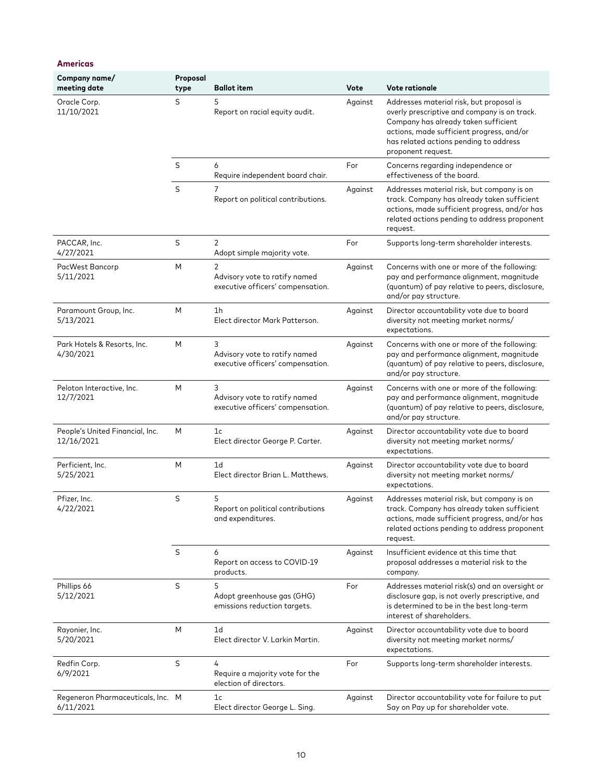| <b>Americas</b>                                |                  |                                                                         |         |                                                                                                                                                                                                                                               |
|------------------------------------------------|------------------|-------------------------------------------------------------------------|---------|-----------------------------------------------------------------------------------------------------------------------------------------------------------------------------------------------------------------------------------------------|
| Company name/<br>meeting date                  | Proposal<br>type | <b>Ballot item</b>                                                      | Vote    | <b>Vote rationale</b>                                                                                                                                                                                                                         |
| Oracle Corp.<br>11/10/2021                     | S                | 5<br>Report on racial equity audit.                                     | Against | Addresses material risk, but proposal is<br>overly prescriptive and company is on track.<br>Company has already taken sufficient<br>actions, made sufficient progress, and/or<br>has related actions pending to address<br>proponent request. |
|                                                | S                | 6<br>Require independent board chair.                                   | For     | Concerns regarding independence or<br>effectiveness of the board.                                                                                                                                                                             |
|                                                | S                | 7<br>Report on political contributions.                                 | Against | Addresses material risk, but company is on<br>track. Company has already taken sufficient<br>actions, made sufficient progress, and/or has<br>related actions pending to address proponent<br>request.                                        |
| PACCAR, Inc.<br>4/27/2021                      | S                | 2<br>Adopt simple majority vote.                                        | For     | Supports long-term shareholder interests.                                                                                                                                                                                                     |
| PacWest Bancorp<br>5/11/2021                   | M                | 2<br>Advisory vote to ratify named<br>executive officers' compensation. | Against | Concerns with one or more of the following:<br>pay and performance alignment, magnitude<br>(quantum) of pay relative to peers, disclosure,<br>and/or pay structure.                                                                           |
| Paramount Group, Inc.<br>5/13/2021             | M                | 1 <sub>h</sub><br>Elect director Mark Patterson.                        | Against | Director accountability vote due to board<br>diversity not meeting market norms/<br>expectations.                                                                                                                                             |
| Park Hotels & Resorts, Inc.<br>4/30/2021       | M                | 3<br>Advisory vote to ratify named<br>executive officers' compensation. | Against | Concerns with one or more of the following:<br>pay and performance alignment, magnitude<br>(quantum) of pay relative to peers, disclosure,<br>and/or pay structure.                                                                           |
| Peloton Interactive, Inc.<br>12/7/2021         | Μ                | 3<br>Advisory vote to ratify named<br>executive officers' compensation. | Against | Concerns with one or more of the following:<br>pay and performance alignment, magnitude<br>(quantum) of pay relative to peers, disclosure,<br>and/or pay structure.                                                                           |
| People's United Financial, Inc.<br>12/16/2021  | M                | 1c<br>Elect director George P. Carter.                                  | Against | Director accountability vote due to board<br>diversity not meeting market norms/<br>expectations.                                                                                                                                             |
| Perficient, Inc.<br>5/25/2021                  | M                | 1 <sub>d</sub><br>Elect director Brian L. Matthews.                     | Against | Director accountability vote due to board<br>diversity not meeting market norms/<br>expectations.                                                                                                                                             |
| Pfizer, Inc.<br>4/22/2021                      | S                | 5.<br>Report on political contributions<br>and expenditures.            | Against | Addresses material risk, but company is on<br>track. Company has already taken sufficient<br>actions, made sufficient progress, and/or has<br>related actions pending to address proponent<br>request.                                        |
|                                                | S                | 6<br>Report on access to COVID-19<br>products.                          | Against | Insufficient evidence at this time that<br>proposal addresses a material risk to the<br>company.                                                                                                                                              |
| Phillips 66<br>5/12/2021                       | S                | 5<br>Adopt greenhouse gas (GHG)<br>emissions reduction targets.         | For     | Addresses material risk(s) and an oversight or<br>disclosure gap, is not overly prescriptive, and<br>is determined to be in the best long-term<br>interest of shareholders.                                                                   |
| Rayonier, Inc.<br>5/20/2021                    | Μ                | 1d<br>Elect director V. Larkin Martin.                                  | Against | Director accountability vote due to board<br>diversity not meeting market norms/<br>expectations.                                                                                                                                             |
| Redfin Corp.<br>6/9/2021                       | S                | 4<br>Require a majority vote for the<br>election of directors.          | For     | Supports long-term shareholder interests.                                                                                                                                                                                                     |
| Regeneron Pharmaceuticals, Inc. M<br>6/11/2021 |                  | 1c<br>Elect director George L. Sing.                                    | Against | Director accountability vote for failure to put<br>Say on Pay up for shareholder vote.                                                                                                                                                        |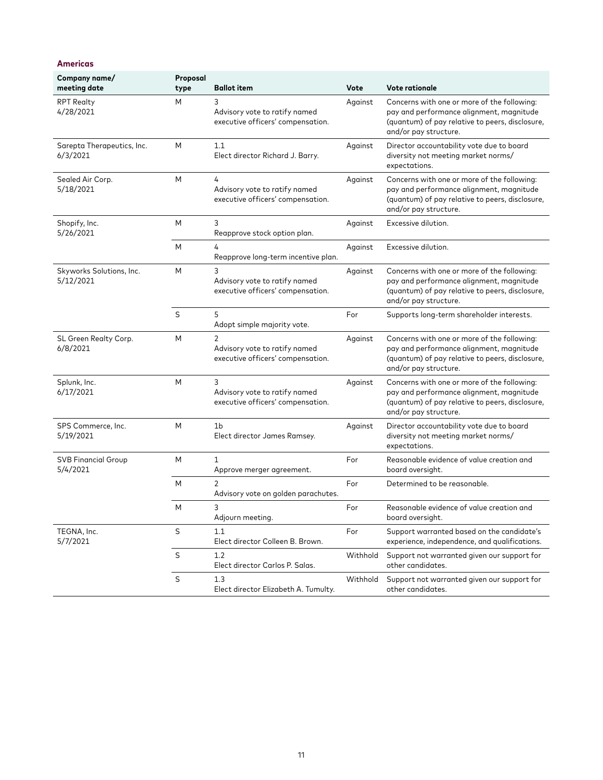| Company name/<br>meeting date          | Proposal<br>type | <b>Ballot item</b>                                                      | Vote     | <b>Vote rationale</b>                                                                                                                                               |
|----------------------------------------|------------------|-------------------------------------------------------------------------|----------|---------------------------------------------------------------------------------------------------------------------------------------------------------------------|
| <b>RPT Realty</b><br>4/28/2021         | M                | 3<br>Advisory vote to ratify named<br>executive officers' compensation. | Against  | Concerns with one or more of the following:<br>pay and performance alignment, magnitude<br>(quantum) of pay relative to peers, disclosure,<br>and/or pay structure. |
| Sarepta Therapeutics, Inc.<br>6/3/2021 | M                | 1.1<br>Elect director Richard J. Barry.                                 | Against  | Director accountability vote due to board<br>diversity not meeting market norms/<br>expectations.                                                                   |
| Sealed Air Corp.<br>5/18/2021          | M                | 4<br>Advisory vote to ratify named<br>executive officers' compensation. | Against  | Concerns with one or more of the following:<br>pay and performance alignment, magnitude<br>(quantum) of pay relative to peers, disclosure,<br>and/or pay structure. |
| Shopify, Inc.<br>5/26/2021             | M                | 3<br>Reapprove stock option plan.                                       | Against  | Excessive dilution.                                                                                                                                                 |
|                                        | M                | 4<br>Reapprove long-term incentive plan.                                | Against  | Excessive dilution.                                                                                                                                                 |
| Skyworks Solutions, Inc.<br>5/12/2021  | M                | 3<br>Advisory vote to ratify named<br>executive officers' compensation. | Against  | Concerns with one or more of the following:<br>pay and performance alignment, magnitude<br>(quantum) of pay relative to peers, disclosure,<br>and/or pay structure. |
|                                        | S                | 5<br>Adopt simple majority vote.                                        | For      | Supports long-term shareholder interests.                                                                                                                           |
| SL Green Realty Corp.<br>6/8/2021      | M                | 2<br>Advisory vote to ratify named<br>executive officers' compensation. | Against  | Concerns with one or more of the following:<br>pay and performance alignment, magnitude<br>(quantum) of pay relative to peers, disclosure,<br>and/or pay structure. |
| Splunk, Inc.<br>6/17/2021              | M                | 3<br>Advisory vote to ratify named<br>executive officers' compensation. | Against  | Concerns with one or more of the following:<br>pay and performance alignment, magnitude<br>(quantum) of pay relative to peers, disclosure,<br>and/or pay structure. |
| SPS Commerce, Inc.<br>5/19/2021        | M                | 1b<br>Elect director James Ramsey.                                      | Against  | Director accountability vote due to board<br>diversity not meeting market norms/<br>expectations.                                                                   |
| <b>SVB Financial Group</b><br>5/4/2021 | M                | 1<br>Approve merger agreement.                                          | For      | Reasonable evidence of value creation and<br>board oversight.                                                                                                       |
|                                        | M                | 2<br>Advisory vote on golden parachutes.                                | For      | Determined to be reasonable.                                                                                                                                        |
|                                        | M                | 3<br>Adjourn meeting.                                                   | For      | Reasonable evidence of value creation and<br>board oversight.                                                                                                       |
| TEGNA, Inc.<br>5/7/2021                | S                | 1.1<br>Elect director Colleen B. Brown.                                 | For      | Support warranted based on the candidate's<br>experience, independence, and qualifications.                                                                         |
|                                        | S                | 1.2<br>Elect director Carlos P. Salas.                                  | Withhold | Support not warranted given our support for<br>other candidates.                                                                                                    |
|                                        | S                | 1.3<br>Elect director Elizabeth A. Tumulty.                             | Withhold | Support not warranted given our support for<br>other candidates.                                                                                                    |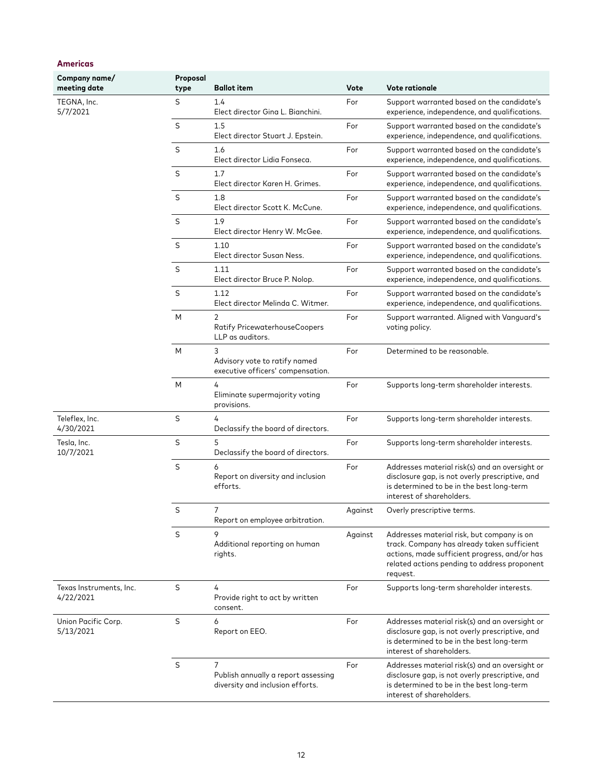| Company name/<br>meeting date        | Proposal<br>type | <b>Ballot item</b>                                                                        | Vote    | <b>Vote rationale</b>                                                                                                                                                                                  |
|--------------------------------------|------------------|-------------------------------------------------------------------------------------------|---------|--------------------------------------------------------------------------------------------------------------------------------------------------------------------------------------------------------|
| TEGNA, Inc.<br>5/7/2021              | S                | 1.4<br>Elect director Gina L. Bianchini.                                                  | For     | Support warranted based on the candidate's<br>experience, independence, and qualifications.                                                                                                            |
|                                      | S                | 1.5<br>Elect director Stuart J. Epstein.                                                  | For     | Support warranted based on the candidate's<br>experience, independence, and qualifications.                                                                                                            |
|                                      | S                | 1.6<br>Elect director Lidia Fonseca.                                                      | For     | Support warranted based on the candidate's<br>experience, independence, and qualifications.                                                                                                            |
|                                      | S                | 1.7<br>Elect director Karen H. Grimes.                                                    | For     | Support warranted based on the candidate's<br>experience, independence, and qualifications.                                                                                                            |
|                                      | S                | 1.8<br>Elect director Scott K. McCune.                                                    | For     | Support warranted based on the candidate's<br>experience, independence, and qualifications.                                                                                                            |
|                                      | S                | 1.9<br>Elect director Henry W. McGee.                                                     | For     | Support warranted based on the candidate's<br>experience, independence, and qualifications.                                                                                                            |
|                                      | S                | 1.10<br>Elect director Susan Ness.                                                        | For     | Support warranted based on the candidate's<br>experience, independence, and qualifications.                                                                                                            |
|                                      | S                | 1.11<br>Elect director Bruce P. Nolop.                                                    | For     | Support warranted based on the candidate's<br>experience, independence, and qualifications.                                                                                                            |
|                                      | S                | 1.12<br>Elect director Melinda C. Witmer.                                                 | For     | Support warranted based on the candidate's<br>experience, independence, and qualifications.                                                                                                            |
|                                      | M                | 2<br>Ratify PricewaterhouseCoopers<br>LLP as auditors.                                    | For     | Support warranted. Aligned with Vanguard's<br>voting policy.                                                                                                                                           |
|                                      | M                | 3<br>Advisory vote to ratify named<br>executive officers' compensation.                   | For     | Determined to be reasonable.                                                                                                                                                                           |
|                                      | M                | 4<br>Eliminate supermajority voting<br>provisions.                                        | For     | Supports long-term shareholder interests.                                                                                                                                                              |
| Teleflex, Inc.<br>4/30/2021          | S                | 4<br>Declassify the board of directors.                                                   | For     | Supports long-term shareholder interests.                                                                                                                                                              |
| Tesla, Inc.<br>10/7/2021             | S                | 5<br>Declassify the board of directors.                                                   | For     | Supports long-term shareholder interests.                                                                                                                                                              |
|                                      | S                | 6<br>Report on diversity and inclusion<br>efforts.                                        | For     | Addresses material risk(s) and an oversight or<br>disclosure gap, is not overly prescriptive, and<br>is determined to be in the best long-term<br>interest of shareholders.                            |
|                                      | S                | 7<br>Report on employee arbitration.                                                      | Against | Overly prescriptive terms.                                                                                                                                                                             |
|                                      | S                | 9<br>Additional reporting on human<br>rights.                                             | Against | Addresses material risk, but company is on<br>track. Company has already taken sufficient<br>actions, made sufficient progress, and/or has<br>related actions pending to address proponent<br>request. |
| Texas Instruments, Inc.<br>4/22/2021 | S                | 4<br>Provide right to act by written<br>consent.                                          | For     | Supports long-term shareholder interests.                                                                                                                                                              |
| Union Pacific Corp.<br>5/13/2021     | S                | 6<br>Report on EEO.                                                                       | For     | Addresses material risk(s) and an oversight or<br>disclosure gap, is not overly prescriptive, and<br>is determined to be in the best long-term<br>interest of shareholders.                            |
|                                      | S                | $\overline{7}$<br>Publish annually a report assessing<br>diversity and inclusion efforts. | For     | Addresses material risk(s) and an oversight or<br>disclosure gap, is not overly prescriptive, and<br>is determined to be in the best long-term<br>interest of shareholders.                            |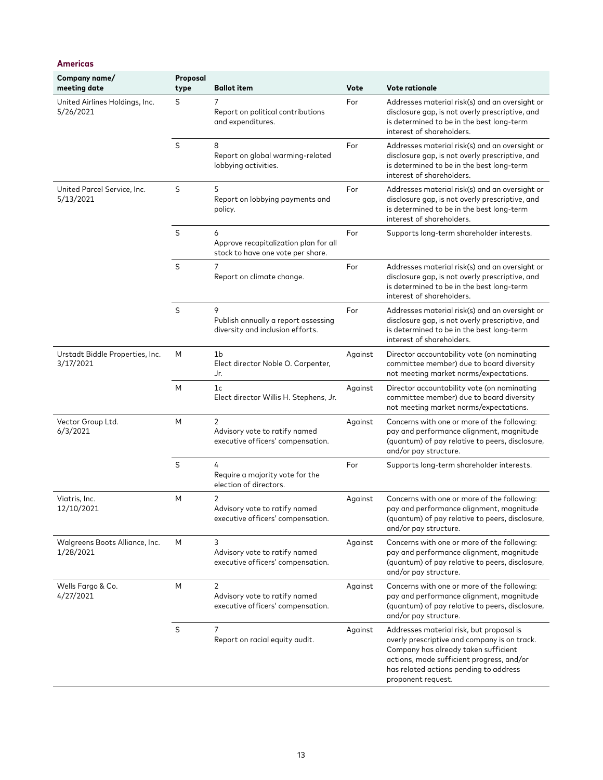| Company name/<br>meeting date                | Proposal<br>type | <b>Ballot item</b>                                                              | Vote    | <b>Vote rationale</b>                                                                                                                                                                                                                         |
|----------------------------------------------|------------------|---------------------------------------------------------------------------------|---------|-----------------------------------------------------------------------------------------------------------------------------------------------------------------------------------------------------------------------------------------------|
| United Airlines Holdings, Inc.<br>5/26/2021  | S                | 7<br>Report on political contributions<br>and expenditures.                     | For     | Addresses material risk(s) and an oversight or<br>disclosure gap, is not overly prescriptive, and<br>is determined to be in the best long-term<br>interest of shareholders.                                                                   |
|                                              | S                | 8<br>Report on global warming-related<br>lobbying activities.                   | For     | Addresses material risk(s) and an oversight or<br>disclosure gap, is not overly prescriptive, and<br>is determined to be in the best long-term<br>interest of shareholders.                                                                   |
| United Parcel Service, Inc.<br>5/13/2021     | S                | 5<br>Report on lobbying payments and<br>policy.                                 | For     | Addresses material risk(s) and an oversight or<br>disclosure gap, is not overly prescriptive, and<br>is determined to be in the best long-term<br>interest of shareholders.                                                                   |
|                                              | S                | 6<br>Approve recapitalization plan for all<br>stock to have one vote per share. | For     | Supports long-term shareholder interests.                                                                                                                                                                                                     |
|                                              | S                | 7<br>Report on climate change.                                                  | For     | Addresses material risk(s) and an oversight or<br>disclosure gap, is not overly prescriptive, and<br>is determined to be in the best long-term<br>interest of shareholders.                                                                   |
|                                              | S                | 9<br>Publish annually a report assessing<br>diversity and inclusion efforts.    | For     | Addresses material risk(s) and an oversight or<br>disclosure gap, is not overly prescriptive, and<br>is determined to be in the best long-term<br>interest of shareholders.                                                                   |
| Urstadt Biddle Properties, Inc.<br>3/17/2021 | M                | 1b<br>Elect director Noble O. Carpenter,<br>Jr.                                 | Against | Director accountability vote (on nominating<br>committee member) due to board diversity<br>not meeting market norms/expectations.                                                                                                             |
|                                              | M                | 1c<br>Elect director Willis H. Stephens, Jr.                                    | Against | Director accountability vote (on nominating<br>committee member) due to board diversity<br>not meeting market norms/expectations.                                                                                                             |
| Vector Group Ltd.<br>6/3/2021                | M                | 2<br>Advisory vote to ratify named<br>executive officers' compensation.         | Against | Concerns with one or more of the following:<br>pay and performance alignment, magnitude<br>(quantum) of pay relative to peers, disclosure,<br>and/or pay structure.                                                                           |
|                                              | S                | 4<br>Require a majority vote for the<br>election of directors.                  | For     | Supports long-term shareholder interests.                                                                                                                                                                                                     |
| Viatris, Inc.<br>12/10/2021                  | M                | 2<br>Advisory vote to ratify named<br>executive officers' compensation.         | Against | Concerns with one or more of the following:<br>pay and performance alignment, magnitude<br>(quantum) of pay relative to peers, disclosure,<br>and/or pay structure.                                                                           |
| Walgreens Boots Alliance, Inc.<br>1/28/2021  | M                | 3<br>Advisory vote to ratify named<br>executive officers' compensation.         | Against | Concerns with one or more of the following:<br>pay and performance alignment, magnitude<br>(quantum) of pay relative to peers, disclosure,<br>and/or pay structure.                                                                           |
| Wells Fargo & Co.<br>4/27/2021               | M                | 2<br>Advisory vote to ratify named<br>executive officers' compensation.         | Against | Concerns with one or more of the following:<br>pay and performance alignment, magnitude<br>(quantum) of pay relative to peers, disclosure,<br>and/or pay structure.                                                                           |
|                                              | S                | $\overline{7}$<br>Report on racial equity audit.                                | Against | Addresses material risk, but proposal is<br>overly prescriptive and company is on track.<br>Company has already taken sufficient<br>actions, made sufficient progress, and/or<br>has related actions pending to address<br>proponent request. |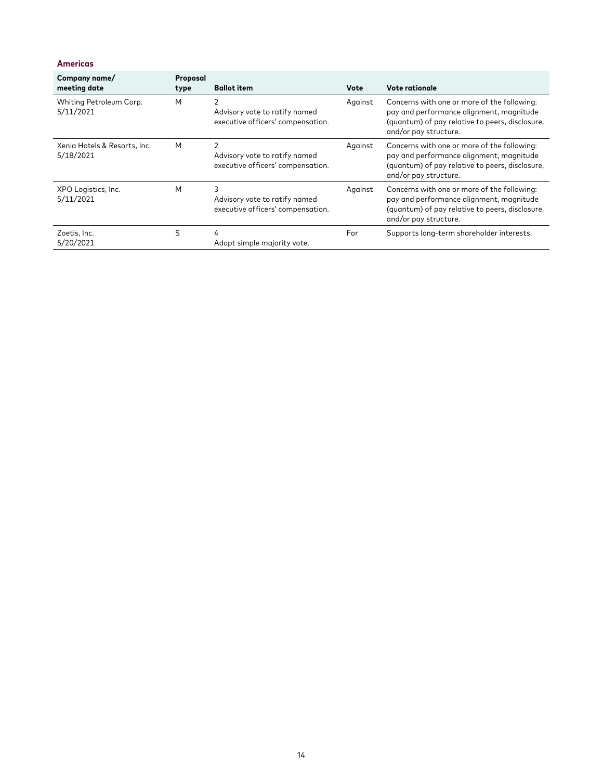| Company name/<br>meeting date             | Proposal<br>type | <b>Ballot item</b>                                                      | Vote    | Vote rationale                                                                                                                                                      |
|-------------------------------------------|------------------|-------------------------------------------------------------------------|---------|---------------------------------------------------------------------------------------------------------------------------------------------------------------------|
| Whiting Petroleum Corp.<br>5/11/2021      | M                | Advisory vote to ratify named<br>executive officers' compensation.      | Against | Concerns with one or more of the following:<br>pay and performance alignment, magnitude<br>(quantum) of pay relative to peers, disclosure,<br>and/or pay structure. |
| Xenia Hotels & Resorts, Inc.<br>5/18/2021 | M                | 2<br>Advisory vote to ratify named<br>executive officers' compensation. | Against | Concerns with one or more of the following:<br>pay and performance alignment, magnitude<br>(quantum) of pay relative to peers, disclosure,<br>and/or pay structure. |
| XPO Logistics, Inc.<br>5/11/2021          | M                | 3<br>Advisory vote to ratify named<br>executive officers' compensation. | Against | Concerns with one or more of the following:<br>pay and performance alignment, magnitude<br>(quantum) of pay relative to peers, disclosure,<br>and/or pay structure. |
| Zoetis, Inc.<br>5/20/2021                 | S                | 4<br>Adopt simple majority vote.                                        | For     | Supports long-term shareholder interests.                                                                                                                           |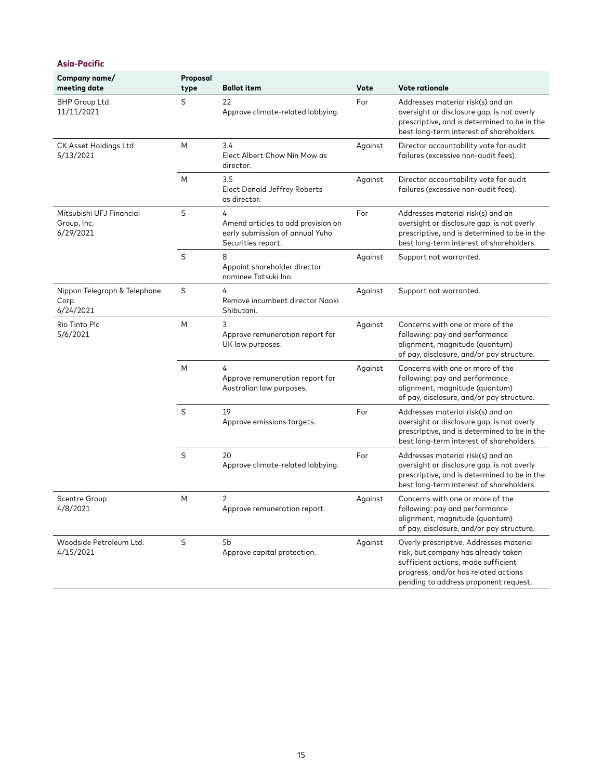| <b>Asia-Pacific</b> |  |
|---------------------|--|
|                     |  |

| Company name/<br>meeting date                        | Proposal<br>type | <b>Ballot item</b>                                                                               | Vote    | Vote rationale                                                                                                                                                                                         |
|------------------------------------------------------|------------------|--------------------------------------------------------------------------------------------------|---------|--------------------------------------------------------------------------------------------------------------------------------------------------------------------------------------------------------|
| BHP Group Ltd.<br>11/11/2021                         | S                | 22<br>Approve climate-related lobbying.                                                          | For     | Addresses material risk(s) and an<br>oversight or disclosure gap, is not overly<br>prescriptive, and is determined to be in the<br>best long-term interest of shareholders.                            |
| CK Asset Holdings Ltd.<br>5/13/2021                  | M                | 3.4<br>Elect Albert Chow Nin Mow as<br>director.                                                 | Against | Director accountability vote for audit<br>failures (excessive non-audit fees).                                                                                                                         |
|                                                      | M                | 3.5<br>Elect Donald Jeffrey Roberts<br>as director.                                              | Against | Director accountability vote for audit<br>failures (excessive non-audit fees).                                                                                                                         |
| Mitsubishi UFJ Financial<br>Group, Inc.<br>6/29/2021 | $\sf S$          | 4<br>Amend articles to add provision on<br>early submission of annual Yuho<br>Securities report. | For     | Addresses material risk(s) and an<br>oversight or disclosure gap, is not overly<br>prescriptive, and is determined to be in the<br>best long-term interest of shareholders.                            |
|                                                      | $\sf S$          | 8<br>Appoint shareholder director<br>nominee Tatsuki Ino.                                        | Against | Support not warranted.                                                                                                                                                                                 |
| Nippon Telegraph & Telephone<br>Corp.<br>6/24/2021   | S                | 4<br>Remove incumbent director Naoki<br>Shibutani.                                               | Against | Support not warranted.                                                                                                                                                                                 |
| Rio Tinto Plc<br>5/6/2021                            | M                | 3<br>Approve remuneration report for<br>UK law purposes.                                         | Against | Concerns with one or more of the<br>following: pay and performance<br>alignment, magnitude (quantum)<br>of pay, disclosure, and/or pay structure.                                                      |
|                                                      | M                | 4<br>Approve remuneration report for<br>Australian law purposes.                                 | Against | Concerns with one or more of the<br>following: pay and performance<br>alignment, magnitude (quantum)<br>of pay, disclosure, and/or pay structure.                                                      |
|                                                      | S                | 19<br>Approve emissions targets.                                                                 | For     | Addresses material risk(s) and an<br>oversight or disclosure gap, is not overly<br>prescriptive, and is determined to be in the<br>best long-term interest of shareholders.                            |
|                                                      | S                | 20<br>Approve climate-related lobbying.                                                          | For     | Addresses material risk(s) and an<br>oversight or disclosure gap, is not overly<br>prescriptive, and is determined to be in the<br>best long-term interest of shareholders.                            |
| <b>Scentre Group</b><br>4/8/2021                     | M                | 2<br>Approve remuneration report.                                                                | Against | Concerns with one or more of the<br>following: pay and performance<br>alignment, magnitude (quantum)<br>of pay, disclosure, and/or pay structure.                                                      |
| Woodside Petroleum Ltd.<br>4/15/2021                 | $\sf S$          | 5b<br>Approve capital protection.                                                                | Against | Overly prescriptive. Addresses material<br>risk, but company has already taken<br>sufficient actions, made sufficient<br>progress, and/or has related actions<br>pending to address proponent request. |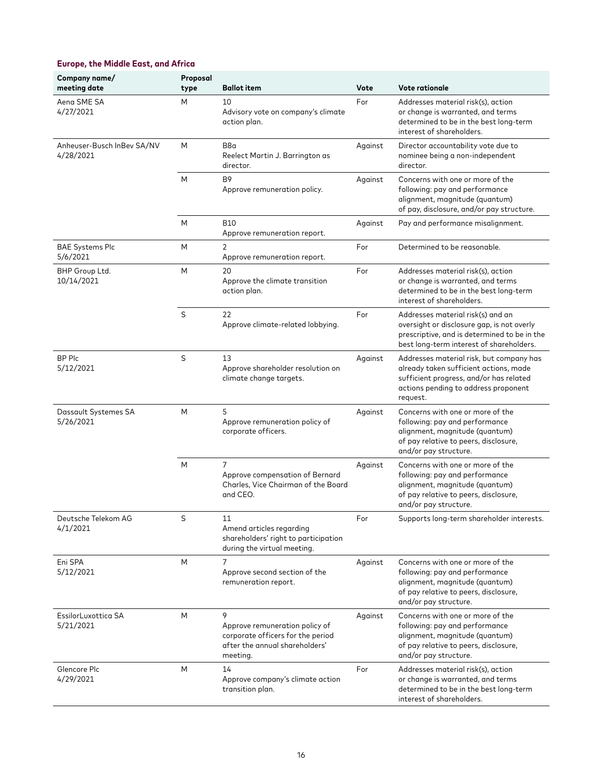## **Europe, the Middle East, and Africa**

| Company name/<br>meeting date           | Proposal<br>type | <b>Ballot item</b>                                                                                                     | Vote    | <b>Vote rationale</b>                                                                                                                                                             |
|-----------------------------------------|------------------|------------------------------------------------------------------------------------------------------------------------|---------|-----------------------------------------------------------------------------------------------------------------------------------------------------------------------------------|
| Aena SME SA<br>4/27/2021                | M                | 10<br>Advisory vote on company's climate<br>action plan.                                                               | For     | Addresses material risk(s), action<br>or change is warranted, and terms<br>determined to be in the best long-term<br>interest of shareholders.                                    |
| Anheuser-Busch InBev SA/NV<br>4/28/2021 | M                | B8a<br>Reelect Martin J. Barrington as<br>director.                                                                    | Against | Director accountability vote due to<br>nominee being a non-independent<br>director.                                                                                               |
|                                         | M                | B9<br>Approve remuneration policy.                                                                                     | Against | Concerns with one or more of the<br>following: pay and performance<br>alignment, magnitude (quantum)<br>of pay, disclosure, and/or pay structure.                                 |
|                                         | M                | <b>B10</b><br>Approve remuneration report.                                                                             | Against | Pay and performance misalignment.                                                                                                                                                 |
| <b>BAE Systems Plc</b><br>5/6/2021      | M                | $\overline{2}$<br>Approve remuneration report.                                                                         | For     | Determined to be reasonable.                                                                                                                                                      |
| BHP Group Ltd.<br>10/14/2021            | M                | 20<br>Approve the climate transition<br>action plan.                                                                   | For     | Addresses material risk(s), action<br>or change is warranted, and terms<br>determined to be in the best long-term<br>interest of shareholders.                                    |
|                                         | S                | 22<br>Approve climate-related lobbying.                                                                                | For     | Addresses material risk(s) and an<br>oversight or disclosure gap, is not overly<br>prescriptive, and is determined to be in the<br>best long-term interest of shareholders.       |
| BP Plc<br>5/12/2021                     | S                | 13<br>Approve shareholder resolution on<br>climate change targets.                                                     | Against | Addresses material risk, but company has<br>already taken sufficient actions, made<br>sufficient progress, and/or has related<br>actions pending to address proponent<br>request. |
| Dassault Systemes SA<br>5/26/2021       | M                | 5<br>Approve remuneration policy of<br>corporate officers.                                                             | Against | Concerns with one or more of the<br>following: pay and performance<br>alignment, magnitude (quantum)<br>of pay relative to peers, disclosure,<br>and/or pay structure.            |
|                                         | M                | $\overline{7}$<br>Approve compensation of Bernard<br>Charles, Vice Chairman of the Board<br>and CEO.                   | Against | Concerns with one or more of the<br>following: pay and performance<br>alignment, magnitude (quantum)<br>of pay relative to peers, disclosure,<br>and/or pay structure.            |
| Deutsche Telekom AG<br>4/1/2021         | S                | 11<br>Amend articles regarding<br>shareholders' right to participation<br>during the virtual meeting.                  | For     | Supports long-term shareholder interests.                                                                                                                                         |
| Eni SPA<br>5/12/2021                    | M                | 7<br>Approve second section of the<br>remuneration report.                                                             | Against | Concerns with one or more of the<br>following: pay and performance<br>alignment, magnitude (quantum)<br>of pay relative to peers, disclosure,<br>and/or pay structure.            |
| EssilorLuxottica SA<br>5/21/2021        | M                | 9<br>Approve remuneration policy of<br>corporate officers for the period<br>after the annual shareholders'<br>meeting. | Against | Concerns with one or more of the<br>following: pay and performance<br>alignment, magnitude (quantum)<br>of pay relative to peers, disclosure,<br>and/or pay structure.            |
| Glencore Plc<br>4/29/2021               | M                | 14<br>Approve company's climate action<br>transition plan.                                                             | For     | Addresses material risk(s), action<br>or change is warranted, and terms<br>determined to be in the best long-term<br>interest of shareholders.                                    |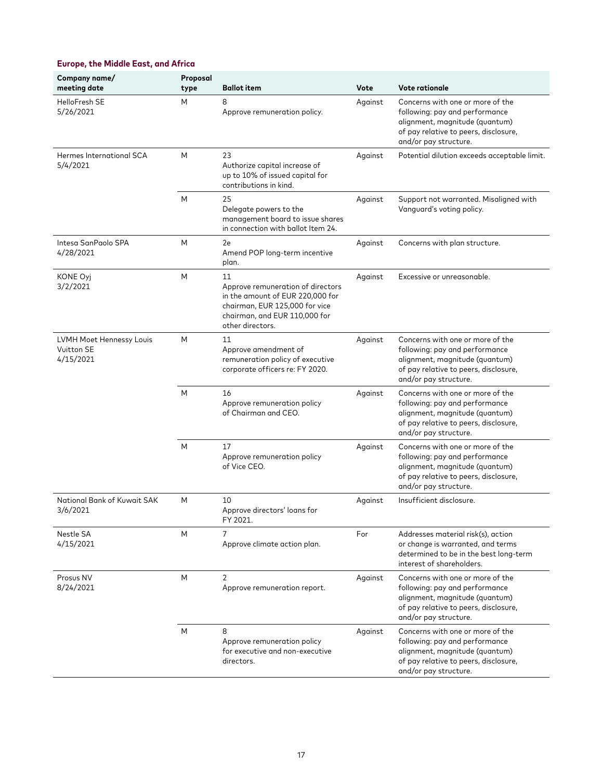| Company name/<br>meeting date                              | Proposal<br>type | <b>Ballot item</b>                                                                                                                                                 | Vote    | <b>Vote rationale</b>                                                                                                                                                  |
|------------------------------------------------------------|------------------|--------------------------------------------------------------------------------------------------------------------------------------------------------------------|---------|------------------------------------------------------------------------------------------------------------------------------------------------------------------------|
| HelloFresh SE<br>5/26/2021                                 | M                | 8<br>Approve remuneration policy.                                                                                                                                  | Against | Concerns with one or more of the<br>following: pay and performance<br>alignment, magnitude (quantum)<br>of pay relative to peers, disclosure,<br>and/or pay structure. |
| <b>Hermes International SCA</b><br>5/4/2021                | M                | 23<br>Authorize capital increase of<br>up to 10% of issued capital for<br>contributions in kind.                                                                   | Against | Potential dilution exceeds acceptable limit.                                                                                                                           |
|                                                            | M                | 25<br>Delegate powers to the<br>management board to issue shares<br>in connection with ballot Item 24.                                                             | Against | Support not warranted. Misaligned with<br>Vanguard's voting policy.                                                                                                    |
| Intesa SanPaolo SPA<br>4/28/2021                           | M                | 2e<br>Amend POP long-term incentive<br>plan.                                                                                                                       | Against | Concerns with plan structure.                                                                                                                                          |
| KONE Oyj<br>3/2/2021                                       | M                | 11<br>Approve remuneration of directors<br>in the amount of EUR 220,000 for<br>chairman, EUR 125,000 for vice<br>chairman, and EUR 110,000 for<br>other directors. | Against | Excessive or unreasonable.                                                                                                                                             |
| <b>LVMH Moet Hennessy Louis</b><br>Vuitton SE<br>4/15/2021 | M                | 11<br>Approve amendment of<br>remuneration policy of executive<br>corporate officers re: FY 2020.                                                                  | Against | Concerns with one or more of the<br>following: pay and performance<br>alignment, magnitude (quantum)<br>of pay relative to peers, disclosure,<br>and/or pay structure. |
|                                                            | M                | 16<br>Approve remuneration policy<br>of Chairman and CEO.                                                                                                          | Against | Concerns with one or more of the<br>following: pay and performance<br>alignment, magnitude (quantum)<br>of pay relative to peers, disclosure,<br>and/or pay structure. |
|                                                            | M                | 17<br>Approve remuneration policy<br>of Vice CEO.                                                                                                                  | Against | Concerns with one or more of the<br>following: pay and performance<br>alignment, magnitude (quantum)<br>of pay relative to peers, disclosure,<br>and/or pay structure. |
| National Bank of Kuwait SAK<br>3/6/2021                    | M                | 10<br>Approve directors' loans for<br>FY 2021.                                                                                                                     | Against | Insufficient disclosure.                                                                                                                                               |
| Nestle SA<br>4/15/2021                                     | M                | $\overline{7}$<br>Approve climate action plan.                                                                                                                     | For     | Addresses material risk(s), action<br>or change is warranted, and terms<br>determined to be in the best long-term<br>interest of shareholders.                         |
| Prosus NV<br>8/24/2021                                     | M                | $\overline{2}$<br>Approve remuneration report.                                                                                                                     | Against | Concerns with one or more of the<br>following: pay and performance<br>alignment, magnitude (quantum)<br>of pay relative to peers, disclosure,<br>and/or pay structure. |
|                                                            | M                | 8<br>Approve remuneration policy<br>for executive and non-executive<br>directors.                                                                                  | Against | Concerns with one or more of the<br>following: pay and performance<br>alignment, magnitude (quantum)<br>of pay relative to peers, disclosure,<br>and/or pay structure. |

## **Europe, the Middle East, and Africa**